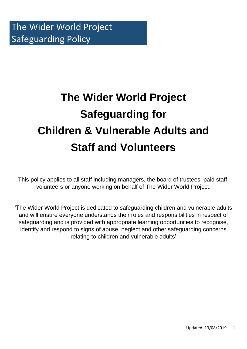# **The Wider World Project Safeguarding for Children & Vulnerable Adults and Staff and Volunteers**

This policy applies to all staff including managers, the board of trustees, paid staff, volunteers or anyone working on behalf of The Wider World Project.

'The Wider World Project is dedicated to safeguarding children and vulnerable adults and will ensure everyone understands their roles and responsibilities in respect of safeguarding and is provided with appropriate learning opportunities to recognise, identify and respond to signs of abuse, neglect and other safeguarding concerns relating to children and vulnerable adults'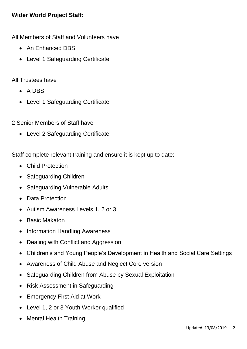## **Wider World Project Staff:**

All Members of Staff and Volunteers have

- An Enhanced DBS
- Level 1 Safeguarding Certificate

#### All Trustees have

- A DBS
- Level 1 Safeguarding Certificate

2 Senior Members of Staff have

• Level 2 Safeguarding Certificate

Staff complete relevant training and ensure it is kept up to date:

- Child Protection
- Safeguarding Children
- Safeguarding Vulnerable Adults
- Data Protection
- Autism Awareness Levels 1, 2 or 3
- Basic Makaton
- Information Handling Awareness
- Dealing with Conflict and Aggression
- Children's and Young People's Development in Health and Social Care Settings
- Awareness of Child Abuse and Neglect Core version
- Safeguarding Children from Abuse by Sexual Exploitation
- Risk Assessment in Safeguarding
- Emergency First Aid at Work
- Level 1, 2 or 3 Youth Worker qualified
- Mental Health Training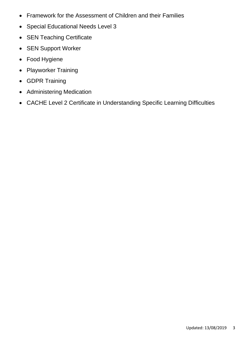- Framework for the Assessment of Children and their Families
- Special Educational Needs Level 3
- SEN Teaching Certificate
- SEN Support Worker
- Food Hygiene
- Playworker Training
- GDPR Training
- Administering Medication
- CACHE Level 2 Certificate in Understanding Specific Learning Difficulties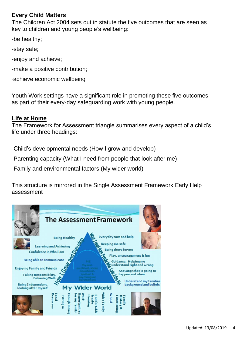## **Every Child Matters**

The Children Act 2004 sets out in statute the five outcomes that are seen as key to children and young people's wellbeing:

-be healthy;

- -stay safe;
- -enjoy and achieve;
- -make a positive contribution;
- -achieve economic wellbeing

Youth Work settings have a significant role in promoting these five outcomes as part of their every-day safeguarding work with young people.

## **Life at Home**

The Framework for Assessment triangle summarises every aspect of a child's life under three headings:

-Child's developmental needs (How I grow and develop)

-Parenting capacity (What I need from people that look after me)

-Family and environmental factors (My wider world)

This structure is mirrored in the Single Assessment Framework Early Help assessment

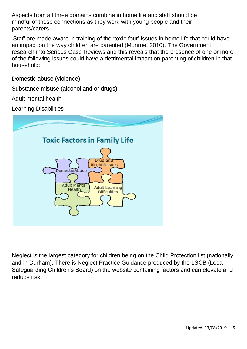Aspects from all three domains combine in home life and staff should be mindful of these connections as they work with young people and their parents/carers.

Staff are made aware in training of the 'toxic four' issues in home life that could have an impact on the way children are parented (Munroe, 2010). The Government research into Serious Case Reviews and this reveals that the presence of one or more of the following issues could have a detrimental impact on parenting of children in that household:

Domestic abuse (violence)

Substance misuse (alcohol and or drugs)

Adult mental health

Learning Disabilities



Neglect is the largest category for children being on the Child Protection list (nationally and in Durham). There is Neglect Practice Guidance produced by the LSCB (Local Safeguarding Children's Board) on the website containing factors and can elevate and reduce risk.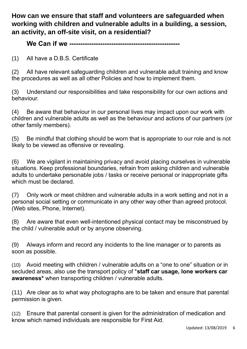**How can we ensure that staff and volunteers are safeguarded when working with children and vulnerable adults in a building, a session, an activity, an off-site visit, on a residential?**

#### **We Can if we --------------------------------------------------**

(1) All have a D.B.S. Certificate

(2) All have relevant safeguarding children and vulnerable adult training and know the procedures as well as all other Policies and how to implement them.

(3) Understand our responsibilities and take responsibility for our own actions and behaviour.

(4) Be aware that behaviour in our personal lives may impact upon our work with children and vulnerable adults as well as the behaviour and actions of our partners (or other family members).

(5) Be mindful that clothing should be worn that is appropriate to our role and is not likely to be viewed as offensive or revealing.

(6) We are vigilant in maintaining privacy and avoid placing ourselves in vulnerable situations. Keep professional boundaries, refrain from asking children and vulnerable adults to undertake personable jobs / tasks or receive personal or inappropriate gifts which must be declared.

(7) Only work or meet children and vulnerable adults in a work setting and not in a personal social setting or communicate in any other way other than agreed protocol. (Web sites, Phone, Internet).

(8) Are aware that even well-intentioned physical contact may be misconstrued by the child / vulnerable adult or by anyone observing.

(9) Always inform and record any incidents to the line manager or to parents as soon as possible.

(10) Avoid meeting with children / vulnerable adults on a "one to one" situation or in secluded areas, also use the transport policy of \***staff car usage, lone workers car awareness\*** when transporting children / vulnerable adults.

(11) Are clear as to what way photographs are to be taken and ensure that parental permission is given.

(12) Ensure that parental consent is given for the administration of medication and know which named individuals are responsible for First Aid.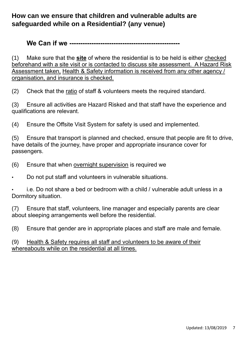## **How can we ensure that children and vulnerable adults are safeguarded while on a Residential? (any venue)**

**We Can if we --------------------------------------------------**

(1) Make sure that the **site** of where the residential is to be held is either checked beforehand with a site visit or is contacted to discuss site assessment. A Hazard Risk Assessment taken, Health & Safety information is received from any other agency / organisation, and insurance is checked.

(2) Check that the ratio of staff & volunteers meets the required standard.

(3) Ensure all activities are Hazard Risked and that staff have the experience and qualifications are relevant.

(4) Ensure the Offsite Visit System for safety is used and implemented.

(5) Ensure that transport is planned and checked, ensure that people are fit to drive, have details of the journey, have proper and appropriate insurance cover for passengers.

- (6) Ensure that when overnight supervision is required we
- Do not put staff and volunteers in vulnerable situations.

i.e. Do not share a bed or bedroom with a child / vulnerable adult unless in a Dormitory situation.

(7) Ensure that staff, volunteers, line manager and especially parents are clear about sleeping arrangements well before the residential.

(8) Ensure that gender are in appropriate places and staff are male and female.

#### (9) Health & Safety requires all staff and volunteers to be aware of their whereabouts while on the residential at all times.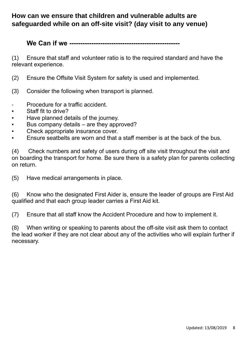## **How can we ensure that children and vulnerable adults are safeguarded while on an off-site visit? (day visit to any venue)**

**We Can if we --------------------------------------------------**

(1) Ensure that staff and volunteer ratio is to the required standard and have the relevant experience.

- (2) Ensure the Offsite Visit System for safety is used and implemented.
- (3) Consider the following when transport is planned.
- Procedure for a traffic accident.
- Staff fit to drive?
- Have planned details of the journey.
- Bus company details are they approved?
- Check appropriate insurance cover.
- Ensure seatbelts are worn and that a staff member is at the back of the bus.

(4) Check numbers and safety of users during off site visit throughout the visit and on boarding the transport for home. Be sure there is a safety plan for parents collecting on return.

(5) Have medical arrangements in place.

(6) Know who the designated First Aider is, ensure the leader of groups are First Aid qualified and that each group leader carries a First Aid kit.

(7) Ensure that all staff know the Accident Procedure and how to implement it.

(8) When writing or speaking to parents about the off-site visit ask them to contact the lead worker if they are not clear about any of the activities who will explain further if necessary.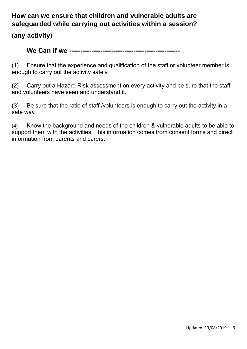# **How can we ensure that children and vulnerable adults are safeguarded while carrying out activities within a session?**

**(any activity)**

## **We Can if we --------------------------------------------------**

(1) Ensure that the experience and qualification of the staff or volunteer member is enough to carry out the activity safely.

(2) Carry out a Hazard Risk assessment on every activity and be sure that the staff and volunteers have seen and understand it.

(3) Be sure that the ratio of staff /volunteers is enough to carry out the activity in a safe way.

(4) Know the background and needs of the children & vulnerable adults to be able to support them with the activities. This information comes from consent forms and direct information from parents and carers.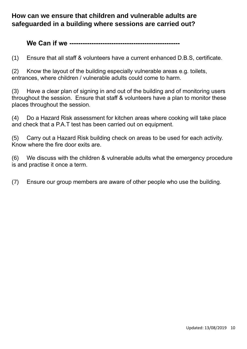## **How can we ensure that children and vulnerable adults are safeguarded in a building where sessions are carried out?**

**We Can if we --------------------------------------------------**

(1) Ensure that all staff & volunteers have a current enhanced D.B.S, certificate.

(2) Know the layout of the building especially vulnerable areas e.g. toilets, entrances, where children / vulnerable adults could come to harm.

(3) Have a clear plan of signing in and out of the building and of monitoring users throughout the session. Ensure that staff & volunteers have a plan to monitor these places throughout the session.

(4) Do a Hazard Risk assessment for kitchen areas where cooking will take place and check that a P.A.T test has been carried out on equipment.

(5) Carry out a Hazard Risk building check on areas to be used for each activity. Know where the fire door exits are.

(6) We discuss with the children & vulnerable adults what the emergency procedure is and practise it once a term.

(7) Ensure our group members are aware of other people who use the building.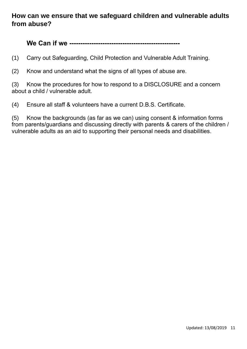## **How can we ensure that we safeguard children and vulnerable adults from abuse?**

**We Can if we --------------------------------------------------**

(1) Carry out Safeguarding, Child Protection and Vulnerable Adult Training.

(2) Know and understand what the signs of all types of abuse are.

(3) Know the procedures for how to respond to a DISCLOSURE and a concern about a child / vulnerable adult.

(4) Ensure all staff & volunteers have a current D.B.S. Certificate.

(5) Know the backgrounds (as far as we can) using consent & information forms from parents/guardians and discussing directly with parents & carers of the children / vulnerable adults as an aid to supporting their personal needs and disabilities.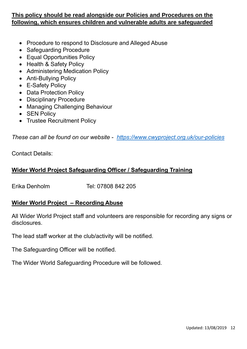#### **This policy should be read alongside our Policies and Procedures on the following, which ensures children and vulnerable adults are safeguarded**

- Procedure to respond to Disclosure and Alleged Abuse
- Safeguarding Procedure
- Equal Opportunities Policy
- Health & Safety Policy
- Administering Medication Policy
- Anti-Bullying Policy
- E-Safety Policy
- Data Protection Policy
- Disciplinary Procedure
- Managing Challenging Behaviour
- SEN Policy
- Trustee Recruitment Policy

*These can all be found on our website - <https://www.cwyproject.org.uk/our-policies>*

Contact Details:

## **Wider World Project Safeguarding Officer / Safeguarding Training**

Erika Denholm Tel: 07808 842 205

## **Wider World Project – Recording Abuse**

All Wider World Project staff and volunteers are responsible for recording any signs or disclosures.

The lead staff worker at the club/activity will be notified.

The Safeguarding Officer will be notified.

The Wider World Safeguarding Procedure will be followed.